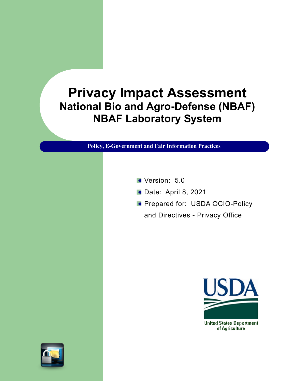# **Privacy Impact Assessment National Bio and Agro-Defense (NBAF) NBAF Laboratory System**

**Policy, E-Government and Fair Information Practices**

- Version: 5.0
- **Date: April 8, 2021**
- **Prepared for: USDA OCIO-Policy** 
	- and Directives Privacy Office





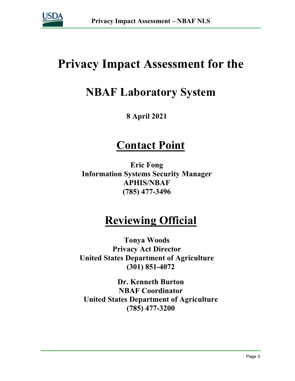

# **Privacy Impact Assessment for the**

# **NBAF Laboratory System**

## **8 April 2021**

# **Contact Point**

**Eric Fong Information Systems Security Manager APHIS/NBAF (785) 477-3496**

# **Reviewing Official**

**Tonya Woods Privacy Act Director United States Department of Agriculture (301) 851-4072**

**Dr. Kenneth Burton NBAF Coordinator United States Department of Agriculture (785) 477-3200**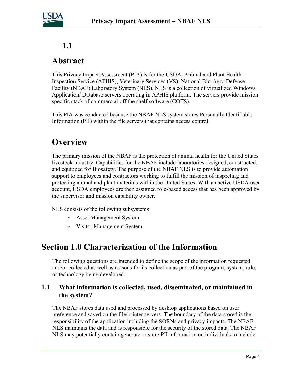

### **1.1**

## **Abstract**

This Privacy Impact Assessment (PIA) is for the USDA, Animal and Plant Health Inspection Service (APHIS), Veterinary Services (VS), National Bio-Agro Defense Facility (NBAF) Laboratory System (NLS). NLS is a collection of virtualized Windows Application/ Database servers operating in APHIS platform. The servers provide mission specific stack of commercial off the shelf software (COTS).

This PIA was conducted because the NBAF NLS system stores Personally Identifiable Information (PII) within the file servers that contains access control.

# **Overview**

The primary mission of the NBAF is the protection of animal health for the United States livestock industry. Capabilities for the NBAF include laboratories designed, constructed, and equipped for Biosafety. The purpose of the NBAF NLS is to provide automation support to employees and contractors working to fulfill the mission of inspecting and protecting animal and plant materials within the United States. With an active USDA user account, USDA employees are then assigned role-based access that has been approved by the supervisor and mission capability owner.

NLS consists of the following subsystems:

- o Asset Management System
- o Visitor Management System

# **Section 1.0 Characterization of the Information**

The following questions are intended to define the scope of the information requested and/or collected as well as reasons for its collection as part of the program, system, rule, or technology being developed.

#### **1.1 What information is collected, used, disseminated, or maintained in the system?**

The NBAF stores data used and processed by desktop applications based on user preference and saved on the file/printer servers. The boundary of the data stored is the responsibility of the application including the SORNs and privacy impacts. The NBAF NLS maintains the data and is responsible for the security of the stored data. The NBAF NLS may potentially contain generate or store PII information on individuals to include: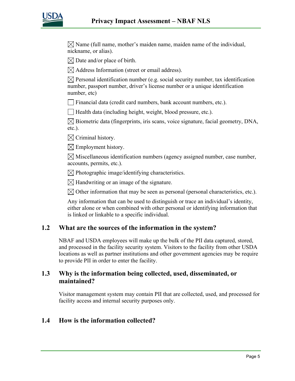

 $\boxtimes$  Name (full name, mother's maiden name, maiden name of the individual, nickname, or alias).

 $\boxtimes$  Date and/or place of birth.

 $\boxtimes$  Address Information (street or email address).

 $\boxtimes$  Personal identification number (e.g. social security number, tax identification number, passport number, driver's license number or a unique identification number, etc)

 $\Box$  Financial data (credit card numbers, bank account numbers, etc.).

 $\Box$  Health data (including height, weight, blood pressure, etc.).

 $\boxtimes$  Biometric data (fingerprints, iris scans, voice signature, facial geometry, DNA, etc.).

 $\boxtimes$  Criminal history.

 $\boxtimes$  Employment history.

 $\boxtimes$  Miscellaneous identification numbers (agency assigned number, case number, accounts, permits, etc.).

 $\boxtimes$  Photographic image/identifying characteristics.

 $\boxtimes$  Handwriting or an image of the signature.

 $\boxtimes$  Other information that may be seen as personal (personal characteristics, etc.).

Any information that can be used to distinguish or trace an individual's identity, either alone or when combined with other personal or identifying information that is linked or linkable to a specific individual.

#### **1.2 What are the sources of the information in the system?**

NBAF and USDA employees will make up the bulk of the PII data captured, stored, and processed in the facility security system. Visitors to the facility from other USDA locations as well as partner institutions and other government agencies may be require to provide PII in order to enter the facility.

#### **1.3 Why is the information being collected, used, disseminated, or maintained?**

Visitor management system may contain PII that are collected, used, and processed for facility access and internal security purposes only.

#### **1.4 How is the information collected?**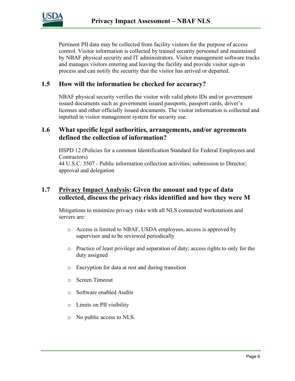

Pertinent PII data may be collected from facility visitors for the purpose of access control. Visitor information is collected by trained security personnel and maintained by NBAF physical security and IT administrators. Visitor management software tracks and manages visitors entering and leaving the facility and provide visitor sign-in process and can notify the security that the visitor has arrived or departed.

#### **1.5 How will the information be checked for accuracy?**

NBAF physical security verifies the visitor with valid photo IDs and/or government issued documents such as government issued passports, passport cards, driver's licenses and other officially issued documents. The visitor information is collected and inputted in visitor management system for security use.

#### **1.6 What specific legal authorities, arrangements, and/or agreements defined the collection of information?**

HSPD 12 (Policies for a common Identification Standard for Federal Employees and Contractors) 44 U.S.C. 3507 - Public information collection activities; submission to Director; approval and delegation

#### **1.7 Privacy Impact Analysis: Given the amount and type of data collected, discuss the privacy risks identified and how they were M**

Mitigations to minimize privacy risks with all NLS connected workstations and servers are:

- o Access is limited to NBAF, USDA employees, access is approved by supervisor and to be reviewed periodically
- o Practice of least privilege and separation of duty; access rights to only for the duty assigned
- o Encryption for data at rest and during transition
- o Screen Timeout
- o Software enabled Audits
- o Limits on PII visibility
- o No public access to NLS.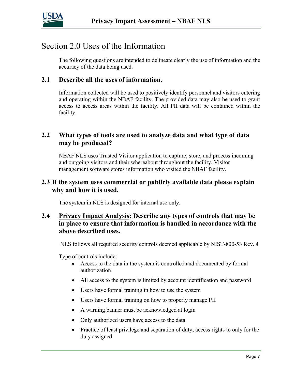

# Section 2.0 Uses of the Information

The following questions are intended to delineate clearly the use of information and the accuracy of the data being used.

#### **2.1 Describe all the uses of information.**

Information collected will be used to positively identify personnel and visitors entering and operating within the NBAF facility. The provided data may also be used to grant access to access areas within the facility. All PII data will be contained within the facility.

#### **2.2 What types of tools are used to analyze data and what type of data may be produced?**

NBAF NLS uses Trusted Visitor application to capture, store, and process incoming and outgoing visitors and their whereabout throughout the facility. Visitor management software stores information who visited the NBAF facility.

#### **2.3 If the system uses commercial or publicly available data please explain why and how it is used.**

The system in NLS is designed for internal use only.

#### **2.4 Privacy Impact Analysis: Describe any types of controls that may be in place to ensure that information is handled in accordance with the above described uses.**

NLS follows all required security controls deemed applicable by NIST-800-53 Rev. 4

Type of controls include:

- Access to the data in the system is controlled and documented by formal authorization
- All access to the system is limited by account identification and password
- Users have formal training in how to use the system
- Users have formal training on how to properly manage PII
- A warning banner must be acknowledged at login
- Only authorized users have access to the data
- Practice of least privilege and separation of duty; access rights to only for the duty assigned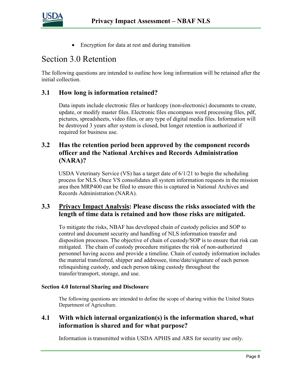

• Encryption for data at rest and during transition

### Section 3.0 Retention

The following questions are intended to outline how long information will be retained after the initial collection.

#### **3.1 How long is information retained?**

Data inputs include electronic files or hardcopy (non-electronic) documents to create, update, or modify master files. Electronic files encompass word processing files, pdf, pictures, spreadsheets, video files, or any type of digital media files. Information will be destroyed 3 years after system is closed, but longer retention is authorized if required for business use.

#### **3.2 Has the retention period been approved by the component records officer and the National Archives and Records Administration (NARA)?**

USDA Veterinary Service (VS) has a target date of  $6/1/21$  to begin the scheduling process for NLS. Once VS consolidates all system information requests in the mission area then MRP400 can be filed to ensure this is captured in National Archives and Records Administration (NARA).

#### **3.3 Privacy Impact Analysis: Please discuss the risks associated with the length of time data is retained and how those risks are mitigated.**

To mitigate the risks, NBAF has developed chain of custody policies and SOP to control and document security and handling of NLS information transfer and disposition processes. The objective of chain of custody/SOP is to ensure that risk can mitigated. The chain of custody procedure mitigates the risk of non-authorized personnel having access and provide a timeline. Chain of custody information includes the material transferred, shipper and addressee, time/date/signature of each person relinquishing custody, and each person taking custody throughout the transfer/transport, storage, and use.

#### **Section 4.0 Internal Sharing and Disclosure**

The following questions are intended to define the scope of sharing within the United States Department of Agriculture.

#### **4.1 With which internal organization(s) is the information shared, what information is shared and for what purpose?**

Information is transmitted within USDA APHIS and ARS for security use only.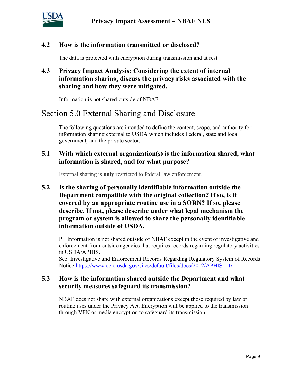

#### **4.2 How is the information transmitted or disclosed?**

The data is protected with encryption during transmission and at rest.

#### **4.3 Privacy Impact Analysis: Considering the extent of internal information sharing, discuss the privacy risks associated with the sharing and how they were mitigated.**

Information is not shared outside of NBAF.

## Section 5.0 External Sharing and Disclosure

The following questions are intended to define the content, scope, and authority for information sharing external to USDA which includes Federal, state and local government, and the private sector.

#### **5.1 With which external organization(s) is the information shared, what information is shared, and for what purpose?**

External sharing is **only** restricted to federal law enforcement.

**5.2 Is the sharing of personally identifiable information outside the Department compatible with the original collection? If so, is it covered by an appropriate routine use in a SORN? If so, please describe. If not, please describe under what legal mechanism the program or system is allowed to share the personally identifiable information outside of USDA.** 

PII Information is not shared outside of NBAF except in the event of investigative and enforcement from outside agencies that requires records regarding regulatory activities in USDA/APHIS.

See: Investigative and Enforcement Records Regarding Regulatory System of Records Notice <https://www.ocio.usda.gov/sites/default/files/docs/2012/APHIS-1.txt>

#### **5.3 How is the information shared outside the Department and what security measures safeguard its transmission?**

NBAF does not share with external organizations except those required by law or routine uses under the Privacy Act. Encryption will be applied to the transmission through VPN or media encryption to safeguard its transmission.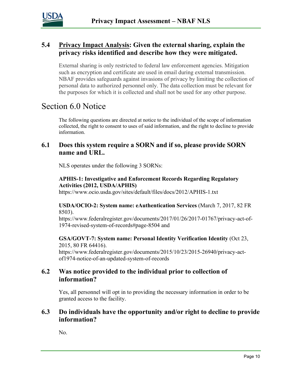

#### **5.4 Privacy Impact Analysis: Given the external sharing, explain the privacy risks identified and describe how they were mitigated.**

External sharing is only restricted to federal law enforcement agencies. Mitigation such as encryption and certificate are used in email during external transmission. NBAF provides safeguards against invasions of privacy by limiting the collection of personal data to authorized personnel only. The data collection must be relevant for the purposes for which it is collected and shall not be used for any other purpose.

## Section 6.0 Notice

The following questions are directed at notice to the individual of the scope of information collected, the right to consent to uses of said information, and the right to decline to provide information.

#### **6.1 Does this system require a SORN and if so, please provide SORN name and URL.**

NLS operates under the following 3 SORNs:

#### **APHIS-1: Investigative and Enforcement Records Regarding Regulatory Activities (2012, USDA/APHIS)**

https://www.ocio.usda.gov/sites/default/files/docs/2012/APHIS-1.txt

#### **USDA/OCIO-2: System name: eAuthentication Services** (March 7, 2017, 82 FR 8503).

https://www.federalregister.gov/documents/2017/01/26/2017-01767/privacy-act-of-1974-revised-system-of-records#page-8504 and

#### **GSA/GOVT-7: System name: Personal Identity Verification Identity** (Oct 23, 2015, 80 FR 64416).

https://www.federalregister.gov/documents/2015/10/23/2015-26940/privacy-actof1974-notice-of-an-updated-system-of-records

#### **6.2 Was notice provided to the individual prior to collection of information?**

Yes, all personnel will opt in to providing the necessary information in order to be granted access to the facility.

#### **6.3 Do individuals have the opportunity and/or right to decline to provide information?**

No.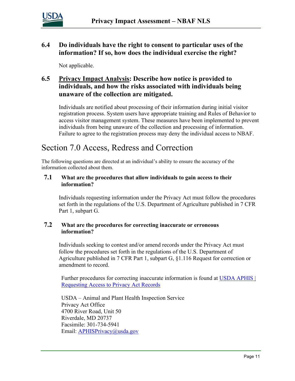

#### **6.4 Do individuals have the right to consent to particular uses of the information? If so, how does the individual exercise the right?**

Not applicable.

#### **6.5 Privacy Impact Analysis: Describe how notice is provided to individuals, and how the risks associated with individuals being unaware of the collection are mitigated.**

Individuals are notified about processing of their information during initial visitor registration process. System users have appropriate training and Rules of Behavior to access visitor management system. These measures have been implemented to prevent individuals from being unaware of the collection and processing of information. Failure to agree to the registration process may deny the individual access to NBAF.

# Section 7.0 Access, Redress and Correction

The following questions are directed at an individual's ability to ensure the accuracy of the information collected about them.

#### **7.1 What are the procedures that allow individuals to gain access to their information?**

Individuals requesting information under the Privacy Act must follow the procedures set forth in the regulations of the U.S. Department of Agriculture published in 7 CFR Part 1, subpart G.

#### **7.2 What are the procedures for correcting inaccurate or erroneous information?**

Individuals seeking to contest and/or amend records under the Privacy Act must follow the procedures set forth in the regulations of the U.S. Department of Agriculture published in 7 CFR Part 1, subpart G, §1.116 Request for correction or amendment to record.

Further procedures for correcting inaccurate information is found at USDA APHIS | [Requesting Access to Privacy Act Records](https://gcc02.safelinks.protection.outlook.com/?url=https%3A%2F%2Fwww.aphis.usda.gov%2Faphis%2Fresources%2Flawsandregs%2Fprivacy-act%2Frequest-access%2Frequest-access&data=04%7C01%7C%7C546bbcd64b994ae9753e08d8a771dde1%7Ced5b36e701ee4ebc867ee03cfa0d4697%7C0%7C0%7C637443454777379332%7CUnknown%7CTWFpbGZsb3d8eyJWIjoiMC4wLjAwMDAiLCJQIjoiV2luMzIiLCJBTiI6Ik1haWwiLCJXVCI6Mn0%3D%7C1000&sdata=lSPsP7Taxo466xzKQ%2BUYwLnaRyLtIvPy%2FyzcQwU%2BVcs%3D&reserved=0)

USDA – Animal and Plant Health Inspection Service Privacy Act Office 4700 River Road, Unit 50 Riverdale, MD 20737 Facsimile: 301-734-5941 Email: [APHISPrivacy@usda.gov](mailto:APHISPrivacy@usda.gov)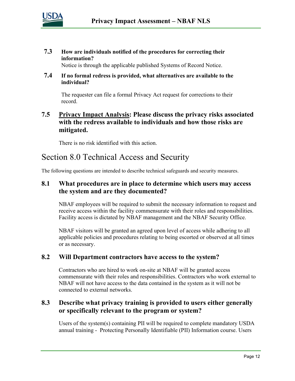

**7.3 How are individuals notified of the procedures for correcting their information?**

Notice is through the applicable published Systems of Record Notice.

**7.4 If no formal redress is provided, what alternatives are available to the individual?**

The requester can file a formal Privacy Act request for corrections to their record.

#### **7.5 Privacy Impact Analysis: Please discuss the privacy risks associated with the redress available to individuals and how those risks are mitigated.**

There is no risk identified with this action.

# Section 8.0 Technical Access and Security

The following questions are intended to describe technical safeguards and security measures.

#### **8.1 What procedures are in place to determine which users may access the system and are they documented?**

NBAF employees will be required to submit the necessary information to request and receive access within the facility commensurate with their roles and responsibilities. Facility access is dictated by NBAF management and the NBAF Security Office.

NBAF visitors will be granted an agreed upon level of access while adhering to all applicable policies and procedures relating to being escorted or observed at all times or as necessary.

#### **8.2 Will Department contractors have access to the system?**

Contractors who are hired to work on-site at NBAF will be granted access commensurate with their roles and responsibilities. Contractors who work external to NBAF will not have access to the data contained in the system as it will not be connected to external networks.

#### **8.3 Describe what privacy training is provided to users either generally or specifically relevant to the program or system?**

Users of the system(s) containing PII will be required to complete mandatory USDA annual training - Protecting Personally Identifiable (PII) Information course. Users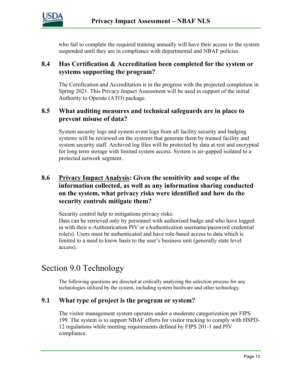

who fail to complete the required training annually will have their access to the system suspended until they are in compliance with departmental and NBAF policies.

#### **8.4 Has Certification & Accreditation been completed for the system or systems supporting the program?**

The Certification and Accreditation is in the progress with the projected completion in Spring 2021. This Privacy Impact Assessment will be used in support of the initial Authority to Operate (ATO) package.

#### **8.5 What auditing measures and technical safeguards are in place to prevent misuse of data?**

System security logs and system event logs from all facility security and badging systems will be reviewed on the systems that generate them by trained facility and system security staff. Archived log files will be protected by data at rest and encrypted for long term storage with limited system access. System is air-gapped isolated to a protected network segment.

#### **8.6 Privacy Impact Analysis: Given the sensitivity and scope of the information collected, as well as any information sharing conducted on the system, what privacy risks were identified and how do the security controls mitigate them?**

Security control help to mitigations privacy risks:

Data can be retrieved only by personnel with authorized badge and who have logged in with their e-Authentication PIV or eAuthentication username/password credential role(s). Users must be authenticated and have role-based access to data which is limited to a need to know basis to the user's business unit (generally state level access).

# Section 9.0 Technology

The following questions are directed at critically analyzing the selection process for any technologies utilized by the system, including system hardware and other technology.

#### **9.1 What type of project is the program or system?**

The visitor management system operates under a moderate categorization per FIPS 199. The system is to support NBAF efforts for visitor tracking to comply with HSPD-12 regulations while meeting requirements defined by FIPS 201-1 and PIV compliance.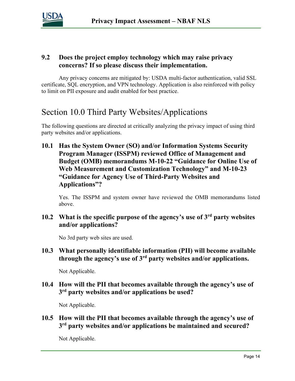

#### **9.2 Does the project employ technology which may raise privacy concerns? If so please discuss their implementation.**

Any privacy concerns are mitigated by: USDA multi-factor authentication, valid SSL certificate, SQL encryption, and VPN technology. Application is also reinforced with policy to limit on PII exposure and audit enabled for best practice.

## Section 10.0 Third Party Websites/Applications

The following questions are directed at critically analyzing the privacy impact of using third party websites and/or applications.

**10.1 Has the System Owner (SO) and/or Information Systems Security Program Manager (ISSPM) reviewed Office of Management and Budget (OMB) memorandums M-10-22 "Guidance for Online Use of Web Measurement and Customization Technology" and M-10-23 "Guidance for Agency Use of Third-Party Websites and Applications"?**

Yes. The ISSPM and system owner have reviewed the OMB memorandums listed above.

**10.2 What is the specific purpose of the agency's use of 3rd party websites and/or applications?**

No 3rd party web sites are used.

**10.3 What personally identifiable information (PII) will become available through the agency's use of 3rd party websites and/or applications.**

Not Applicable.

#### **10.4 How will the PII that becomes available through the agency's use of 3rd party websites and/or applications be used?**

Not Applicable.

**10.5 How will the PII that becomes available through the agency's use of 3rd party websites and/or applications be maintained and secured?**

Not Applicable.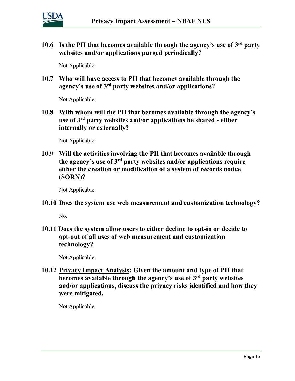

**10.6 Is the PII that becomes available through the agency's use of 3rd party websites and/or applications purged periodically?** 

Not Applicable.

**10.7 Who will have access to PII that becomes available through the agency's use of 3rd party websites and/or applications?**

Not Applicable.

**10.8 With whom will the PII that becomes available through the agency's use of 3rd party websites and/or applications be shared - either internally or externally?**

Not Applicable.

**10.9 Will the activities involving the PII that becomes available through the agency's use of 3rd party websites and/or applications require either the creation or modification of a system of records notice (SORN)?**

Not Applicable.

#### **10.10 Does the system use web measurement and customization technology?**

No.

**10.11 Does the system allow users to either decline to opt-in or decide to opt-out of all uses of web measurement and customization technology?**

Not Applicable.

**10.12 Privacy Impact Analysis: Given the amount and type of PII that becomes available through the agency's use of 3rd party websites and/or applications, discuss the privacy risks identified and how they were mitigated.** 

Not Applicable.